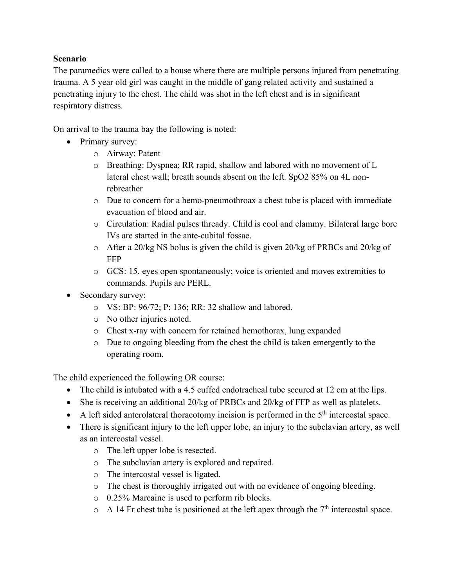## **Scenario**

The paramedics were called to a house where there are multiple persons injured from penetrating trauma. A 5 year old girl was caught in the middle of gang related activity and sustained a penetrating injury to the chest. The child was shot in the left chest and is in significant respiratory distress.

On arrival to the trauma bay the following is noted:

- Primary survey:
	- o Airway: Patent
	- o Breathing: Dyspnea; RR rapid, shallow and labored with no movement of L lateral chest wall; breath sounds absent on the left. SpO2 85% on 4L nonrebreather
	- o Due to concern for a hemo-pneumothroax a chest tube is placed with immediate evacuation of blood and air.
	- o Circulation: Radial pulses thready. Child is cool and clammy. Bilateral large bore IVs are started in the ante-cubital fossae.
	- o After a 20/kg NS bolus is given the child is given 20/kg of PRBCs and 20/kg of FFP
	- o GCS: 15. eyes open spontaneously; voice is oriented and moves extremities to commands. Pupils are PERL.
- Secondary survey:
	- o VS: BP: 96/72; P: 136; RR: 32 shallow and labored.
	- o No other injuries noted.
	- o Chest x-ray with concern for retained hemothorax, lung expanded
	- o Due to ongoing bleeding from the chest the child is taken emergently to the operating room.

The child experienced the following OR course:

- The child is intubated with a 4.5 cuffed endotracheal tube secured at 12 cm at the lips.
- She is receiving an additional 20/kg of PRBCs and 20/kg of FFP as well as platelets.
- A left sided anterolateral thoracotomy incision is performed in the  $5<sup>th</sup>$  intercostal space.
- There is significant injury to the left upper lobe, an injury to the subclavian artery, as well as an intercostal vessel.
	- o The left upper lobe is resected.
	- o The subclavian artery is explored and repaired.
	- o The intercostal vessel is ligated.
	- o The chest is thoroughly irrigated out with no evidence of ongoing bleeding.
	- o 0.25% Marcaine is used to perform rib blocks.
	- $\circ$  A 14 Fr chest tube is positioned at the left apex through the 7<sup>th</sup> intercostal space.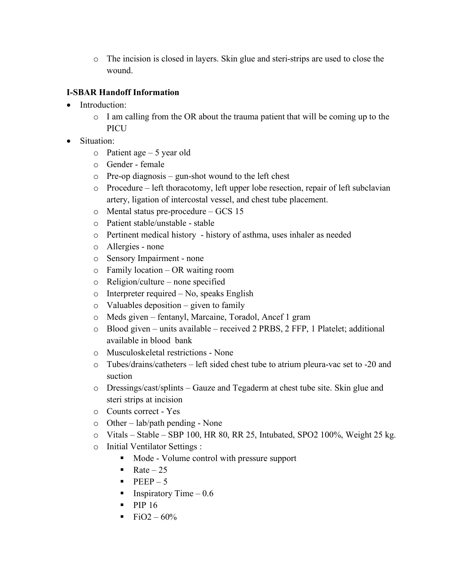o The incision is closed in layers. Skin glue and steri-strips are used to close the wound.

## **I-SBAR Handoff Information**

- Introduction:
	- o I am calling from the OR about the trauma patient that will be coming up to the **PICU**
- Situation:
	- $\circ$  Patient age 5 year old
	- o Gender female
	- o Pre-op diagnosis gun-shot wound to the left chest
	- o Procedure left thoracotomy, left upper lobe resection, repair of left subclavian artery, ligation of intercostal vessel, and chest tube placement.
	- o Mental status pre-procedure GCS 15
	- o Patient stable/unstable stable
	- o Pertinent medical history history of asthma, uses inhaler as needed
	- o Allergies none
	- o Sensory Impairment none
	- o Family location OR waiting room
	- o Religion/culture none specified
	- o Interpreter required No, speaks English
	- o Valuables deposition given to family
	- o Meds given fentanyl, Marcaine, Toradol, Ancef 1 gram
	- o Blood given units available received 2 PRBS, 2 FFP, 1 Platelet; additional available in blood bank
	- o Musculoskeletal restrictions None
	- o Tubes/drains/catheters left sided chest tube to atrium pleura-vac set to -20 and suction
	- o Dressings/cast/splints Gauze and Tegaderm at chest tube site. Skin glue and steri strips at incision
	- o Counts correct Yes
	- o Other lab/path pending None
	- o Vitals Stable SBP 100, HR 80, RR 25, Intubated, SPO2 100%, Weight 25 kg.
	- o Initial Ventilator Settings :
		- Mode Volume control with pressure support
		- Rate  $-25$
		- $\text{PEEP}-5$
		- **•** Inspiratory Time  $-0.6$
		- $\blacksquare$  PIP 16
		- FiO2  $60\%$